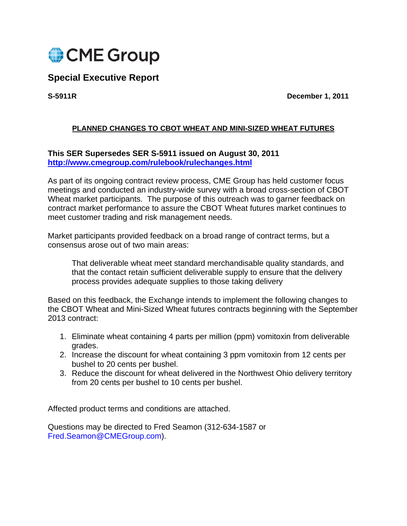

# **Special Executive Report**

**S-5911R December 1, 2011** 

## **PLANNED CHANGES TO CBOT WHEAT AND MINI-SIZED WHEAT FUTURES**

## **This SER Supersedes SER S-5911 issued on August 30, 2011 http://www.cmegroup.com/rulebook/rulechanges.html**

As part of its ongoing contract review process, CME Group has held customer focus meetings and conducted an industry-wide survey with a broad cross-section of CBOT Wheat market participants. The purpose of this outreach was to garner feedback on contract market performance to assure the CBOT Wheat futures market continues to meet customer trading and risk management needs.

Market participants provided feedback on a broad range of contract terms, but a consensus arose out of two main areas:

That deliverable wheat meet standard merchandisable quality standards, and that the contact retain sufficient deliverable supply to ensure that the delivery process provides adequate supplies to those taking delivery

Based on this feedback, the Exchange intends to implement the following changes to the CBOT Wheat and Mini-Sized Wheat futures contracts beginning with the September 2013 contract:

- 1. Eliminate wheat containing 4 parts per million (ppm) vomitoxin from deliverable grades.
- 2. Increase the discount for wheat containing 3 ppm vomitoxin from 12 cents per bushel to 20 cents per bushel.
- 3. Reduce the discount for wheat delivered in the Northwest Ohio delivery territory from 20 cents per bushel to 10 cents per bushel.

Affected product terms and conditions are attached.

Questions may be directed to Fred Seamon (312-634-1587 or Fred.Seamon@CMEGroup.com).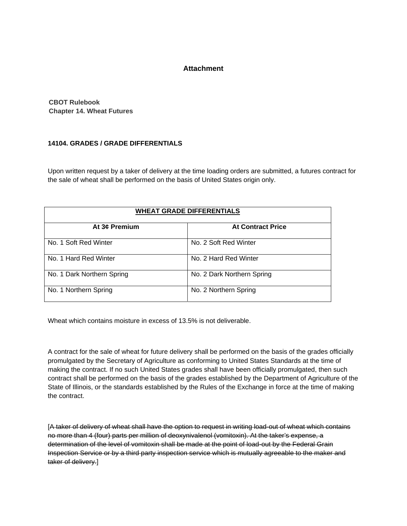#### **Attachment**

**CBOT Rulebook Chapter 14. Wheat Futures** 

### **14104. GRADES / GRADE DIFFERENTIALS**

Upon written request by a taker of delivery at the time loading orders are submitted, a futures contract for the sale of wheat shall be performed on the basis of United States origin only.

| <b>WHEAT GRADE DIFFERENTIALS</b> |                            |
|----------------------------------|----------------------------|
| At 3¢ Premium                    | <b>At Contract Price</b>   |
| No. 1 Soft Red Winter            | No. 2 Soft Red Winter      |
| No. 1 Hard Red Winter            | No. 2 Hard Red Winter      |
| No. 1 Dark Northern Spring       | No. 2 Dark Northern Spring |
| No. 1 Northern Spring            | No. 2 Northern Spring      |

Wheat which contains moisture in excess of 13.5% is not deliverable.

A contract for the sale of wheat for future delivery shall be performed on the basis of the grades officially promulgated by the Secretary of Agriculture as conforming to United States Standards at the time of making the contract. If no such United States grades shall have been officially promulgated, then such contract shall be performed on the basis of the grades established by the Department of Agriculture of the State of Illinois, or the standards established by the Rules of the Exchange in force at the time of making the contract.

[A taker of delivery of wheat shall have the option to request in writing load-out of wheat which contains no more than 4 (four) parts per million of deoxynivalenol (vomitoxin). At the taker's expense, a determination of the level of vomitoxin shall be made at the point of load-out by the Federal Grain Inspection Service or by a third party inspection service which is mutually agreeable to the maker and taker of delivery.]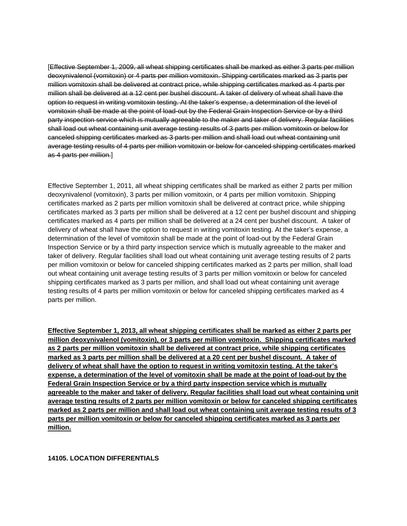[Effective September 1, 2009, all wheat shipping certificates shall be marked as either 3 parts per million deoxynivalenol (vomitoxin) or 4 parts per million vomitoxin. Shipping certificates marked as 3 parts per million vomitoxin shall be delivered at contract price, while shipping certificates marked as 4 parts per million shall be delivered at a 12 cent per bushel discount. A taker of delivery of wheat shall have the option to request in writing vomitoxin testing. At the taker's expense, a determination of the level of vomitoxin shall be made at the point of load-out by the Federal Grain Inspection Service or by a third party inspection service which is mutually agreeable to the maker and taker of delivery. Regular facilities shall load out wheat containing unit average testing results of 3 parts per million vomitoxin or below for canceled shipping certificates marked as 3 parts per million and shall load out wheat containing unit average testing results of 4 parts per million vomitoxin or below for canceled shipping certificates marked as 4 parts per million.]

Effective September 1, 2011, all wheat shipping certificates shall be marked as either 2 parts per million deoxynivalenol (vomitoxin), 3 parts per million vomitoxin, or 4 parts per million vomitoxin. Shipping certificates marked as 2 parts per million vomitoxin shall be delivered at contract price, while shipping certificates marked as 3 parts per million shall be delivered at a 12 cent per bushel discount and shipping certificates marked as 4 parts per million shall be delivered at a 24 cent per bushel discount. A taker of delivery of wheat shall have the option to request in writing vomitoxin testing. At the taker's expense, a determination of the level of vomitoxin shall be made at the point of load-out by the Federal Grain Inspection Service or by a third party inspection service which is mutually agreeable to the maker and taker of delivery. Regular facilities shall load out wheat containing unit average testing results of 2 parts per million vomitoxin or below for canceled shipping certificates marked as 2 parts per million, shall load out wheat containing unit average testing results of 3 parts per million vomitoxin or below for canceled shipping certificates marked as 3 parts per million, and shall load out wheat containing unit average testing results of 4 parts per million vomitoxin or below for canceled shipping certificates marked as 4 parts per million.

**Effective September 1, 2013, all wheat shipping certificates shall be marked as either 2 parts per million deoxynivalenol (vomitoxin), or 3 parts per million vomitoxin. Shipping certificates marked as 2 parts per million vomitoxin shall be delivered at contract price, while shipping certificates marked as 3 parts per million shall be delivered at a 20 cent per bushel discount. A taker of delivery of wheat shall have the option to request in writing vomitoxin testing. At the taker's expense, a determination of the level of vomitoxin shall be made at the point of load-out by the Federal Grain Inspection Service or by a third party inspection service which is mutually agreeable to the maker and taker of delivery. Regular facilities shall load out wheat containing unit average testing results of 2 parts per million vomitoxin or below for canceled shipping certificates marked as 2 parts per million and shall load out wheat containing unit average testing results of 3 parts per million vomitoxin or below for canceled shipping certificates marked as 3 parts per million.** 

#### **14105. LOCATION DIFFERENTIALS**